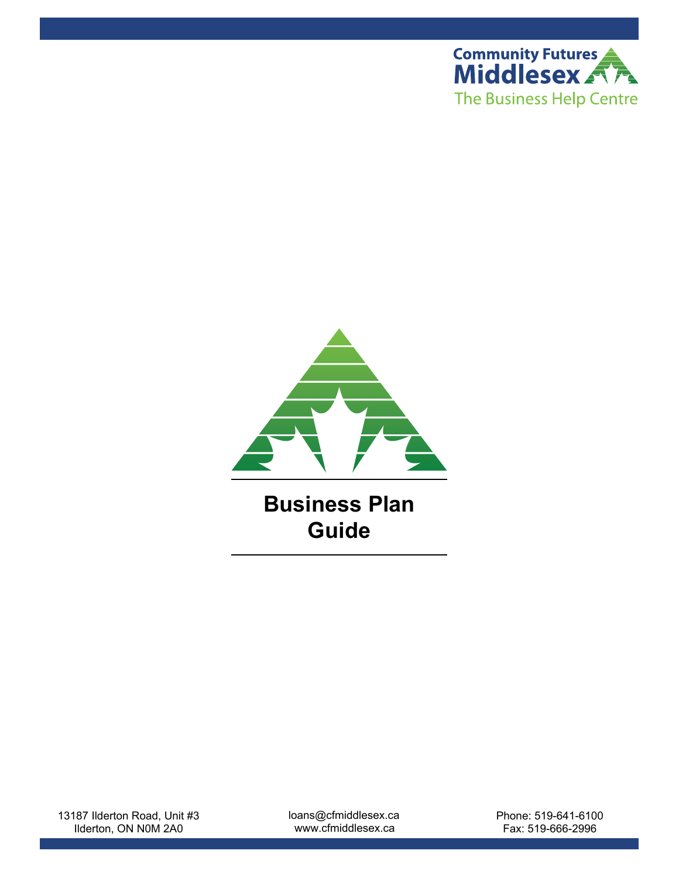



**Business Plan Guide**

13187 Ilderton Road, Unit #3 Ilderton, ON N0M 2A0

loans@cfmiddlesex.ca www.cfmiddlesex.ca

Phone: 519-641-6100 Fax: 519-666-2996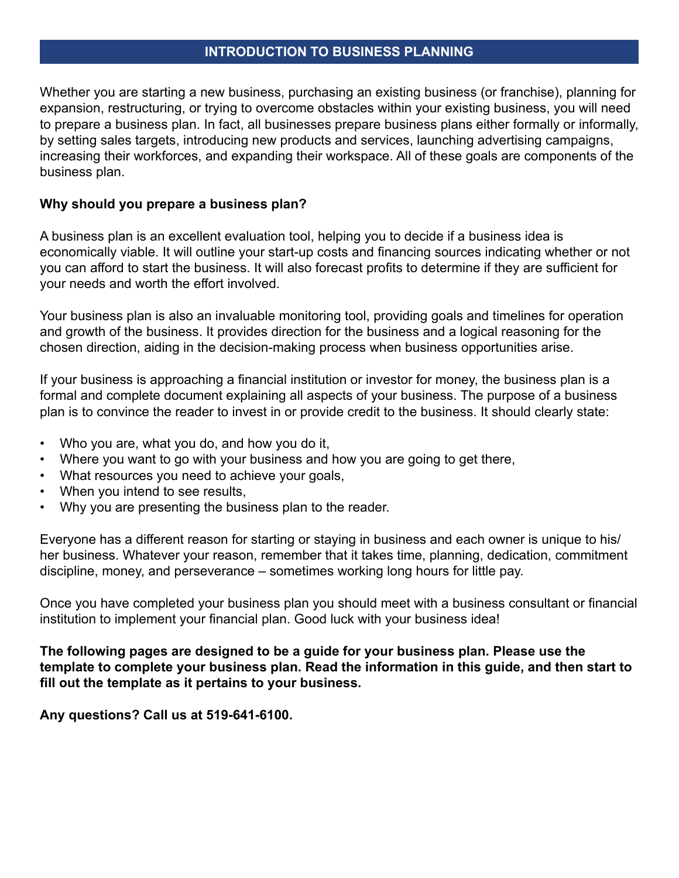#### **INTRODUCTION TO BUSINESS PLANNING**

Whether you are starting a new business, purchasing an existing business (or franchise), planning for expansion, restructuring, or trying to overcome obstacles within your existing business, you will need to prepare a business plan. In fact, all businesses prepare business plans either formally or informally, by setting sales targets, introducing new products and services, launching advertising campaigns, increasing their workforces, and expanding their workspace. All of these goals are components of the business plan.

## **Why should you prepare a business plan?**

A business plan is an excellent evaluation tool, helping you to decide if a business idea is economically viable. It will outline your start-up costs and financing sources indicating whether or not you can afford to start the business. It will also forecast profits to determine if they are sufficient for your needs and worth the effort involved.

Your business plan is also an invaluable monitoring tool, providing goals and timelines for operation and growth of the business. It provides direction for the business and a logical reasoning for the chosen direction, aiding in the decision-making process when business opportunities arise.

If your business is approaching a financial institution or investor for money, the business plan is a formal and complete document explaining all aspects of your business. The purpose of a business plan is to convince the reader to invest in or provide credit to the business. It should clearly state:

- Who you are, what you do, and how you do it,
- Where you want to go with your business and how you are going to get there,
- What resources you need to achieve your goals,
- When you intend to see results,
- Why you are presenting the business plan to the reader.

Everyone has a different reason for starting or staying in business and each owner is unique to his/ her business. Whatever your reason, remember that it takes time, planning, dedication, commitment discipline, money, and perseverance – sometimes working long hours for little pay.

Once you have completed your business plan you should meet with a business consultant or financial institution to implement your financial plan. Good luck with your business idea!

**The following pages are designed to be a guide for your business plan. Please use the template to complete your business plan. Read the information in this guide, and then start to fill out the template as it pertains to your business.** 

**Any questions? Call us at 519-641-6100.**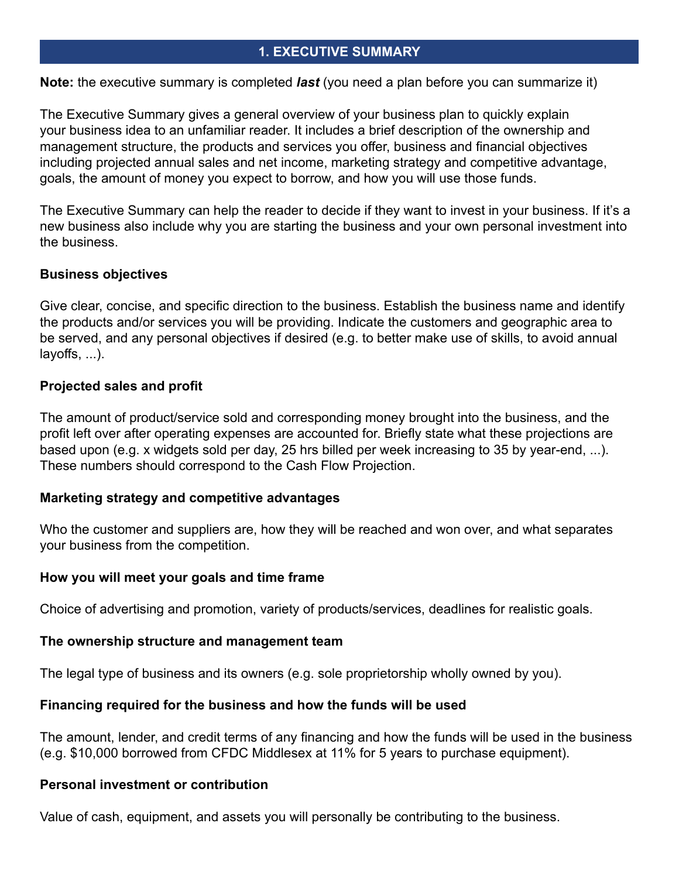# **1. EXECUTIVE SUMMARY**

**Note:** the executive summary is completed *last* (you need a plan before you can summarize it)

The Executive Summary gives a general overview of your business plan to quickly explain your business idea to an unfamiliar reader. It includes a brief description of the ownership and management structure, the products and services you offer, business and financial objectives including projected annual sales and net income, marketing strategy and competitive advantage, goals, the amount of money you expect to borrow, and how you will use those funds.

The Executive Summary can help the reader to decide if they want to invest in your business. If it's a new business also include why you are starting the business and your own personal investment into the business.

## **Business objectives**

Give clear, concise, and specific direction to the business. Establish the business name and identify the products and/or services you will be providing. Indicate the customers and geographic area to be served, and any personal objectives if desired (e.g. to better make use of skills, to avoid annual layoffs, ...).

# **Projected sales and profit**

The amount of product/service sold and corresponding money brought into the business, and the profit left over after operating expenses are accounted for. Briefly state what these projections are based upon (e.g. x widgets sold per day, 25 hrs billed per week increasing to 35 by year-end, ...). These numbers should correspond to the Cash Flow Projection.

## **Marketing strategy and competitive advantages**

Who the customer and suppliers are, how they will be reached and won over, and what separates your business from the competition.

## **How you will meet your goals and time frame**

Choice of advertising and promotion, variety of products/services, deadlines for realistic goals.

## **The ownership structure and management team**

The legal type of business and its owners (e.g. sole proprietorship wholly owned by you).

## **Financing required for the business and how the funds will be used**

The amount, lender, and credit terms of any financing and how the funds will be used in the business (e.g. \$10,000 borrowed from CFDC Middlesex at 11% for 5 years to purchase equipment).

## **Personal investment or contribution**

Value of cash, equipment, and assets you will personally be contributing to the business.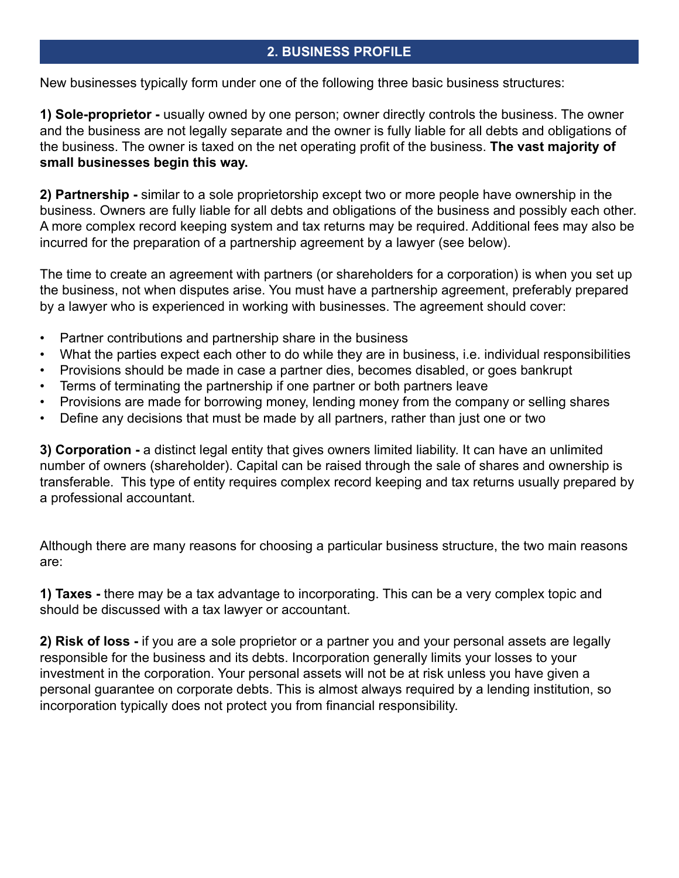# **2. BUSINESS PROFILE**

New businesses typically form under one of the following three basic business structures:

**1) Sole-proprietor -** usually owned by one person; owner directly controls the business. The owner and the business are not legally separate and the owner is fully liable for all debts and obligations of the business. The owner is taxed on the net operating profit of the business. **The vast majority of small businesses begin this way.**

**2) Partnership -** similar to a sole proprietorship except two or more people have ownership in the business. Owners are fully liable for all debts and obligations of the business and possibly each other. A more complex record keeping system and tax returns may be required. Additional fees may also be incurred for the preparation of a partnership agreement by a lawyer (see below).

The time to create an agreement with partners (or shareholders for a corporation) is when you set up the business, not when disputes arise. You must have a partnership agreement, preferably prepared by a lawyer who is experienced in working with businesses. The agreement should cover:

- Partner contributions and partnership share in the business
- What the parties expect each other to do while they are in business, i.e. individual responsibilities
- Provisions should be made in case a partner dies, becomes disabled, or goes bankrupt
- Terms of terminating the partnership if one partner or both partners leave
- Provisions are made for borrowing money, lending money from the company or selling shares
- Define any decisions that must be made by all partners, rather than just one or two

**3) Corporation -** a distinct legal entity that gives owners limited liability. It can have an unlimited number of owners (shareholder). Capital can be raised through the sale of shares and ownership is transferable. This type of entity requires complex record keeping and tax returns usually prepared by a professional accountant.

Although there are many reasons for choosing a particular business structure, the two main reasons are:

**1) Taxes -** there may be a tax advantage to incorporating. This can be a very complex topic and should be discussed with a tax lawyer or accountant.

**2) Risk of loss -** if you are a sole proprietor or a partner you and your personal assets are legally responsible for the business and its debts. Incorporation generally limits your losses to your investment in the corporation. Your personal assets will not be at risk unless you have given a personal guarantee on corporate debts. This is almost always required by a lending institution, so incorporation typically does not protect you from financial responsibility.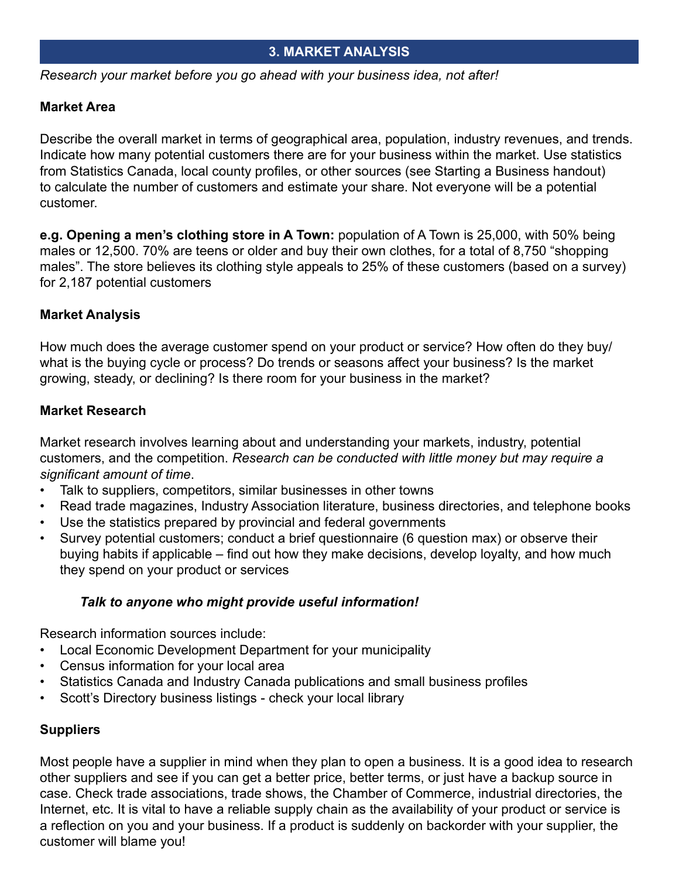# **3. MARKET ANALYSIS**

*Research your market before you go ahead with your business idea, not after!*

# **Market Area**

Describe the overall market in terms of geographical area, population, industry revenues, and trends. Indicate how many potential customers there are for your business within the market. Use statistics from Statistics Canada, local county profiles, or other sources (see Starting a Business handout) to calculate the number of customers and estimate your share. Not everyone will be a potential customer.

**e.g. Opening a men's clothing store in A Town:** population of A Town is 25,000, with 50% being males or 12,500. 70% are teens or older and buy their own clothes, for a total of 8,750 "shopping males". The store believes its clothing style appeals to 25% of these customers (based on a survey) for 2,187 potential customers

# **Market Analysis**

How much does the average customer spend on your product or service? How often do they buy/ what is the buying cycle or process? Do trends or seasons affect your business? Is the market growing, steady, or declining? Is there room for your business in the market?

# **Market Research**

Market research involves learning about and understanding your markets, industry, potential customers, and the competition. *Research can be conducted with little money but may require a significant amount of time*.

- Talk to suppliers, competitors, similar businesses in other towns
- Read trade magazines, Industry Association literature, business directories, and telephone books
- Use the statistics prepared by provincial and federal governments
- Survey potential customers; conduct a brief questionnaire (6 question max) or observe their buying habits if applicable – find out how they make decisions, develop loyalty, and how much they spend on your product or services

## *Talk to anyone who might provide useful information!*

Research information sources include:

- Local Economic Development Department for your municipality
- Census information for your local area
- Statistics Canada and Industry Canada publications and small business profiles
- Scott's Directory business listings check your local library

# **Suppliers**

Most people have a supplier in mind when they plan to open a business. It is a good idea to research other suppliers and see if you can get a better price, better terms, or just have a backup source in case. Check trade associations, trade shows, the Chamber of Commerce, industrial directories, the Internet, etc. It is vital to have a reliable supply chain as the availability of your product or service is a reflection on you and your business. If a product is suddenly on backorder with your supplier, the customer will blame you!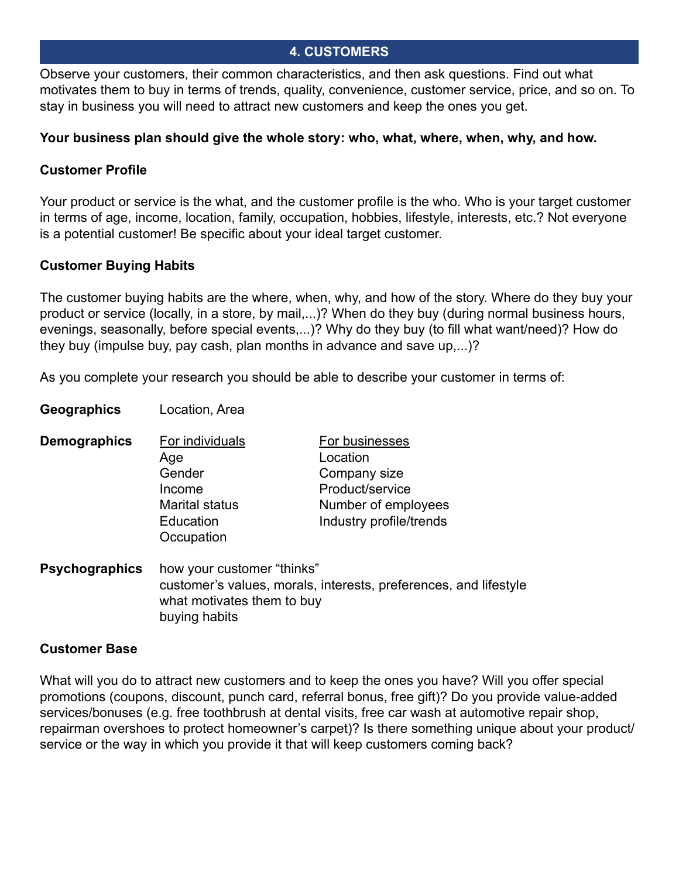# **4. CUSTOMERS**

Observe your customers, their common characteristics, and then ask questions. Find out what motivates them to buy in terms of trends, quality, convenience, customer service, price, and so on. To stay in business you will need to attract new customers and keep the ones you get.

#### **Your business plan should give the whole story: who, what, where, when, why, and how.**

# **Customer Profile**

Your product or service is the what, and the customer profile is the who. Who is your target customer in terms of age, income, location, family, occupation, hobbies, lifestyle, interests, etc.? Not everyone is a potential customer! Be specific about your ideal target customer.

# **Customer Buying Habits**

**Geographics** Location, Area

The customer buying habits are the where, when, why, and how of the story. Where do they buy your product or service (locally, in a store, by mail,...)? When do they buy (during normal business hours, evenings, seasonally, before special events,...)? Why do they buy (to fill what want/need)? How do they buy (impulse buy, pay cash, plan months in advance and save up,...)?

As you complete your research you should be able to describe your customer in terms of:

| Demographics | For individuals         | For businesses          |
|--------------|-------------------------|-------------------------|
|              | Age                     | Location                |
|              | Gender                  | Company size            |
|              | Income                  | Product/service         |
|              | <b>Marital status</b>   | Number of employees     |
|              | Education<br>Occupation | Industry profile/trends |
|              |                         |                         |

**Psychographics** how your customer "thinks" customer's values, morals, interests, preferences, and lifestyle what motivates them to buy buying habits

## **Customer Base**

What will you do to attract new customers and to keep the ones you have? Will you offer special promotions (coupons, discount, punch card, referral bonus, free gift)? Do you provide value-added services/bonuses (e.g. free toothbrush at dental visits, free car wash at automotive repair shop, repairman overshoes to protect homeowner's carpet)? Is there something unique about your product/ service or the way in which you provide it that will keep customers coming back?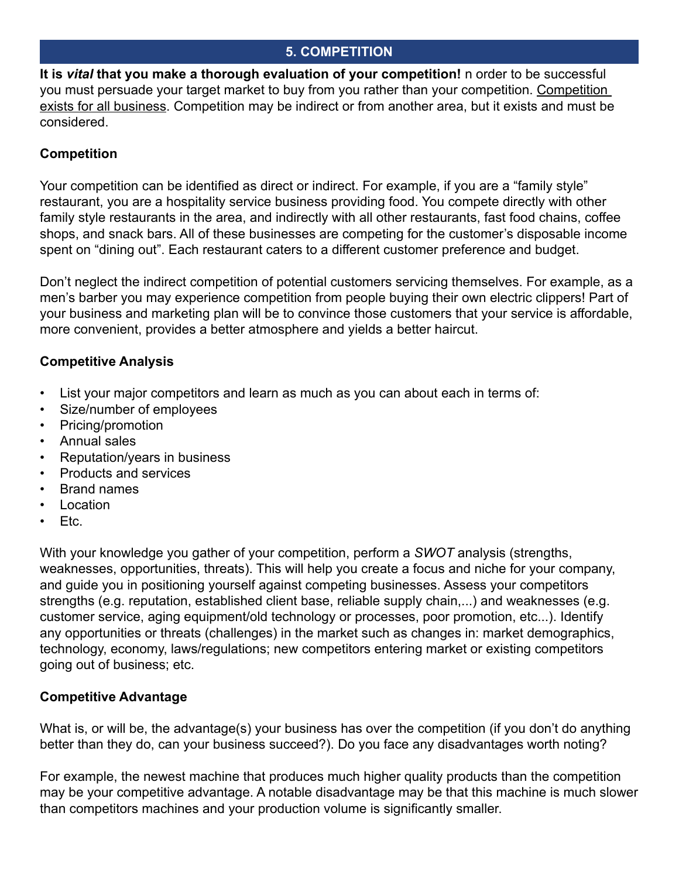# **5. COMPETITION**

**It is** *vital* **that you make a thorough evaluation of your competition!** n order to be successful you must persuade your target market to buy from you rather than your competition. Competition exists for all business. Competition may be indirect or from another area, but it exists and must be considered.

# **Competition**

Your competition can be identified as direct or indirect. For example, if you are a "family style" restaurant, you are a hospitality service business providing food. You compete directly with other family style restaurants in the area, and indirectly with all other restaurants, fast food chains, coffee shops, and snack bars. All of these businesses are competing for the customer's disposable income spent on "dining out". Each restaurant caters to a different customer preference and budget.

Don't neglect the indirect competition of potential customers servicing themselves. For example, as a men's barber you may experience competition from people buying their own electric clippers! Part of your business and marketing plan will be to convince those customers that your service is affordable, more convenient, provides a better atmosphere and yields a better haircut.

# **Competitive Analysis**

- List your major competitors and learn as much as you can about each in terms of:
- Size/number of employees
- Pricing/promotion
- Annual sales
- Reputation/years in business
- Products and services
- Brand names
- **Location**
- Etc.

With your knowledge you gather of your competition, perform a *SWOT* analysis (strengths, weaknesses, opportunities, threats). This will help you create a focus and niche for your company, and guide you in positioning yourself against competing businesses. Assess your competitors strengths (e.g. reputation, established client base, reliable supply chain,...) and weaknesses (e.g. customer service, aging equipment/old technology or processes, poor promotion, etc...). Identify any opportunities or threats (challenges) in the market such as changes in: market demographics, technology, economy, laws/regulations; new competitors entering market or existing competitors going out of business; etc.

# **Competitive Advantage**

What is, or will be, the advantage(s) your business has over the competition (if you don't do anything better than they do, can your business succeed?). Do you face any disadvantages worth noting?

For example, the newest machine that produces much higher quality products than the competition may be your competitive advantage. A notable disadvantage may be that this machine is much slower than competitors machines and your production volume is significantly smaller.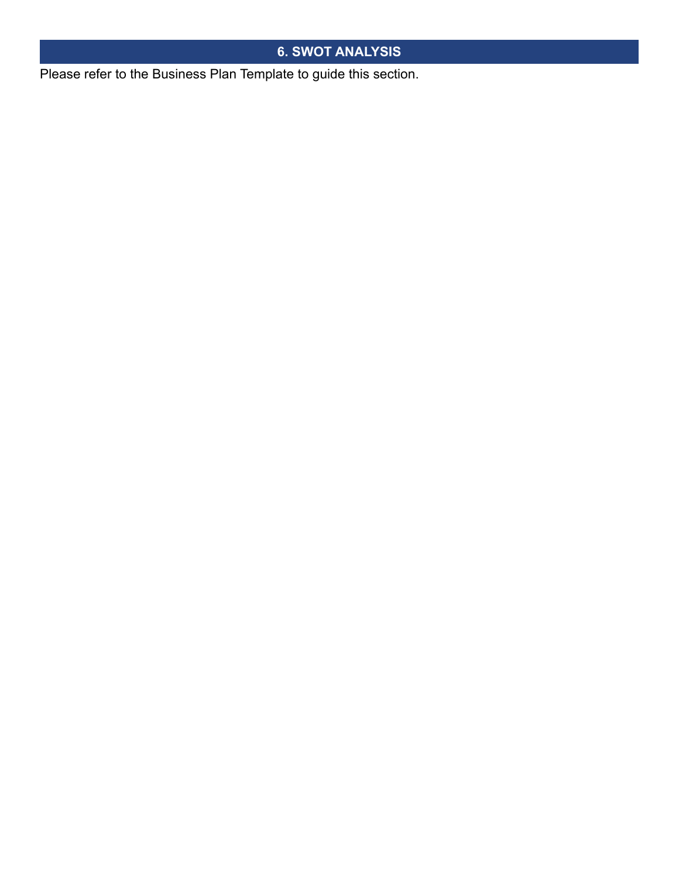# **6. SWOT ANALYSIS**

Please refer to the Business Plan Template to guide this section.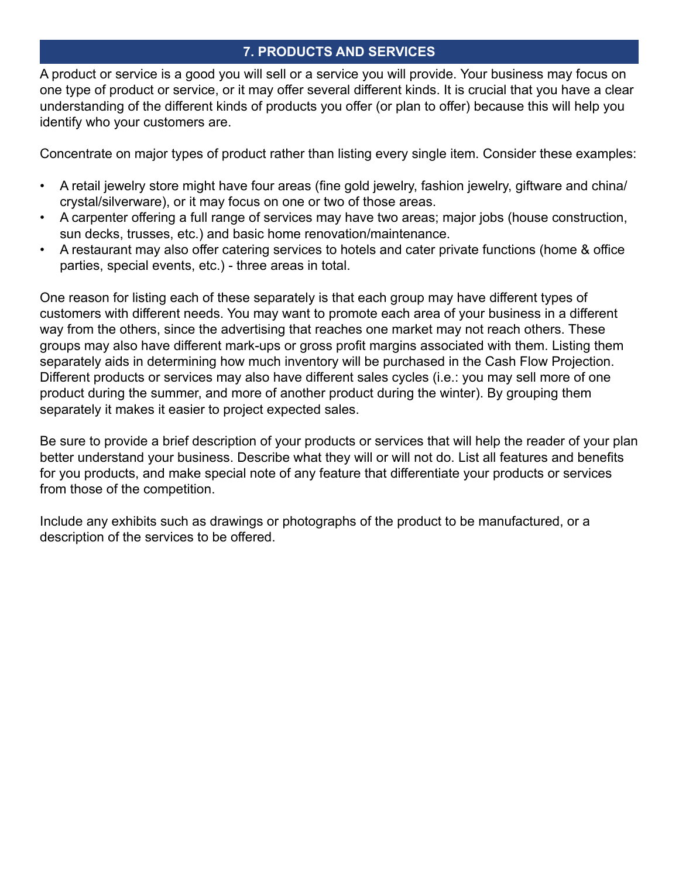# **7. PRODUCTS AND SERVICES**

A product or service is a good you will sell or a service you will provide. Your business may focus on one type of product or service, or it may offer several different kinds. It is crucial that you have a clear understanding of the different kinds of products you offer (or plan to offer) because this will help you identify who your customers are.

Concentrate on major types of product rather than listing every single item. Consider these examples:

- A retail jewelry store might have four areas (fine gold jewelry, fashion jewelry, giftware and china/ crystal/silverware), or it may focus on one or two of those areas.
- A carpenter offering a full range of services may have two areas; major jobs (house construction, sun decks, trusses, etc.) and basic home renovation/maintenance.
- A restaurant may also offer catering services to hotels and cater private functions (home & office parties, special events, etc.) - three areas in total.

One reason for listing each of these separately is that each group may have different types of customers with different needs. You may want to promote each area of your business in a different way from the others, since the advertising that reaches one market may not reach others. These groups may also have different mark-ups or gross profit margins associated with them. Listing them separately aids in determining how much inventory will be purchased in the Cash Flow Projection. Different products or services may also have different sales cycles (i.e.: you may sell more of one product during the summer, and more of another product during the winter). By grouping them separately it makes it easier to project expected sales.

Be sure to provide a brief description of your products or services that will help the reader of your plan better understand your business. Describe what they will or will not do. List all features and benefits for you products, and make special note of any feature that differentiate your products or services from those of the competition.

Include any exhibits such as drawings or photographs of the product to be manufactured, or a description of the services to be offered.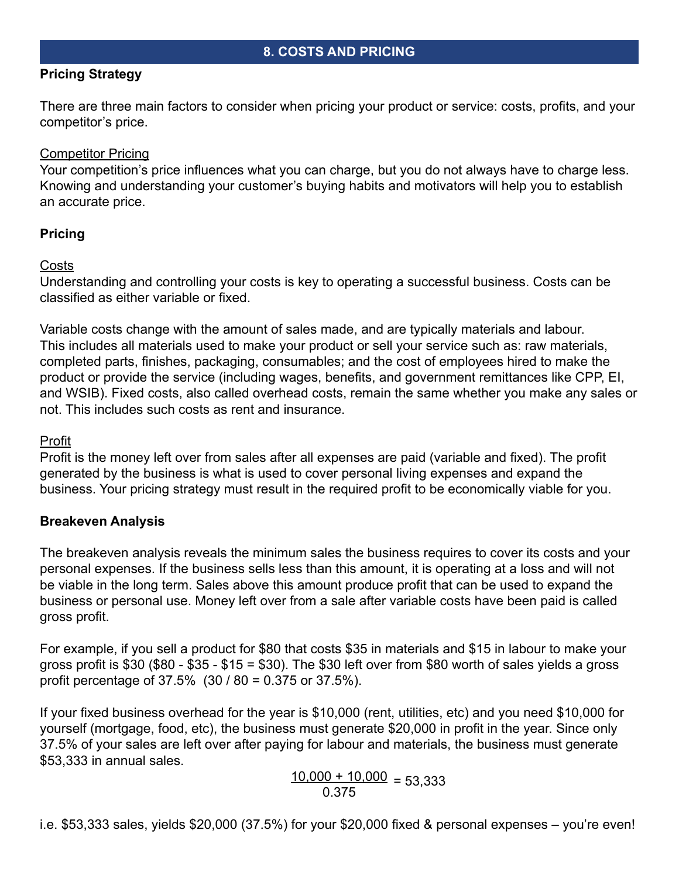# **Pricing Strategy**

There are three main factors to consider when pricing your product or service: costs, profits, and your competitor's price.

# Competitor Pricing

Your competition's price influences what you can charge, but you do not always have to charge less. Knowing and understanding your customer's buying habits and motivators will help you to establish an accurate price.

# **Pricing**

# Costs

Understanding and controlling your costs is key to operating a successful business. Costs can be classified as either variable or fixed.

Variable costs change with the amount of sales made, and are typically materials and labour. This includes all materials used to make your product or sell your service such as: raw materials, completed parts, finishes, packaging, consumables; and the cost of employees hired to make the product or provide the service (including wages, benefits, and government remittances like CPP, EI, and WSIB). Fixed costs, also called overhead costs, remain the same whether you make any sales or not. This includes such costs as rent and insurance.

# Profit

Profit is the money left over from sales after all expenses are paid (variable and fixed). The profit generated by the business is what is used to cover personal living expenses and expand the business. Your pricing strategy must result in the required profit to be economically viable for you.

# **Breakeven Analysis**

The breakeven analysis reveals the minimum sales the business requires to cover its costs and your personal expenses. If the business sells less than this amount, it is operating at a loss and will not be viable in the long term. Sales above this amount produce profit that can be used to expand the business or personal use. Money left over from a sale after variable costs have been paid is called gross profit.

For example, if you sell a product for \$80 that costs \$35 in materials and \$15 in labour to make your gross profit is \$30 (\$80 - \$35 - \$15 = \$30). The \$30 left over from \$80 worth of sales yields a gross profit percentage of 37.5% (30 / 80 = 0.375 or 37.5%).

If your fixed business overhead for the year is \$10,000 (rent, utilities, etc) and you need \$10,000 for yourself (mortgage, food, etc), the business must generate \$20,000 in profit in the year. Since only 37.5% of your sales are left over after paying for labour and materials, the business must generate \$53,333 in annual sales.

$$
\frac{10,000 + 10,000}{0.375} = 53,333
$$

i.e. \$53,333 sales, yields \$20,000 (37.5%) for your \$20,000 fixed & personal expenses – you're even!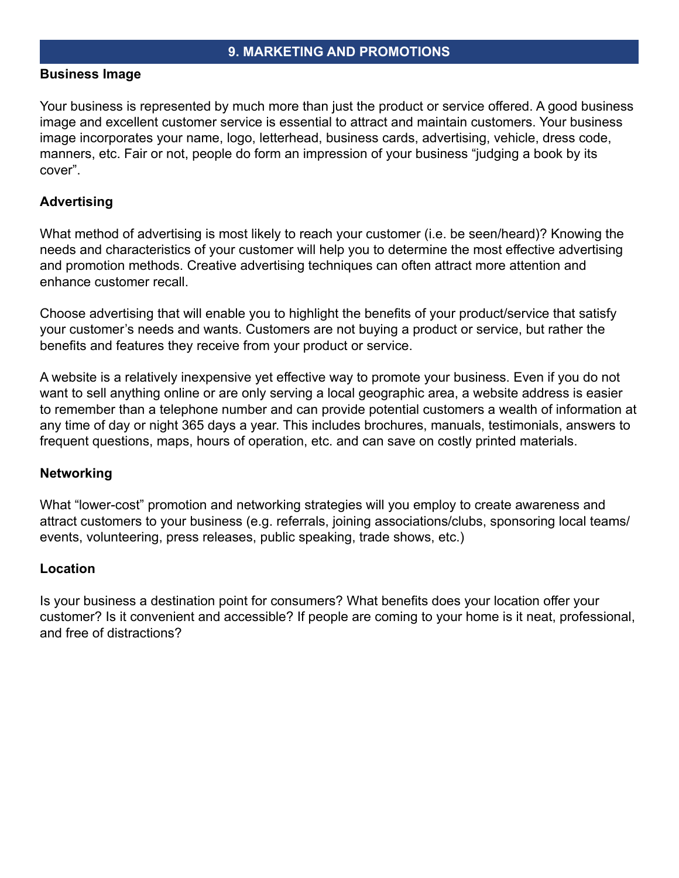#### **Business Image**

Your business is represented by much more than just the product or service offered. A good business image and excellent customer service is essential to attract and maintain customers. Your business image incorporates your name, logo, letterhead, business cards, advertising, vehicle, dress code, manners, etc. Fair or not, people do form an impression of your business "judging a book by its cover".

# **Advertising**

What method of advertising is most likely to reach your customer (i.e. be seen/heard)? Knowing the needs and characteristics of your customer will help you to determine the most effective advertising and promotion methods. Creative advertising techniques can often attract more attention and enhance customer recall.

Choose advertising that will enable you to highlight the benefits of your product/service that satisfy your customer's needs and wants. Customers are not buying a product or service, but rather the benefits and features they receive from your product or service.

A website is a relatively inexpensive yet effective way to promote your business. Even if you do not want to sell anything online or are only serving a local geographic area, a website address is easier to remember than a telephone number and can provide potential customers a wealth of information at any time of day or night 365 days a year. This includes brochures, manuals, testimonials, answers to frequent questions, maps, hours of operation, etc. and can save on costly printed materials.

## **Networking**

What "lower-cost" promotion and networking strategies will you employ to create awareness and attract customers to your business (e.g. referrals, joining associations/clubs, sponsoring local teams/ events, volunteering, press releases, public speaking, trade shows, etc.)

## **Location**

Is your business a destination point for consumers? What benefits does your location offer your customer? Is it convenient and accessible? If people are coming to your home is it neat, professional, and free of distractions?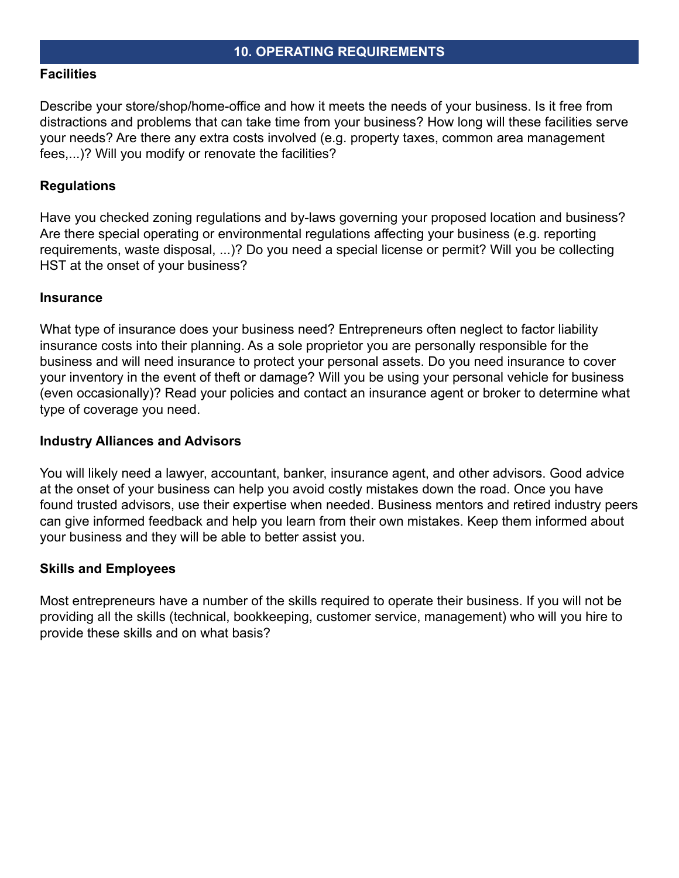#### **Facilities**

Describe your store/shop/home-office and how it meets the needs of your business. Is it free from distractions and problems that can take time from your business? How long will these facilities serve your needs? Are there any extra costs involved (e.g. property taxes, common area management fees,...)? Will you modify or renovate the facilities?

## **Regulations**

Have you checked zoning regulations and by-laws governing your proposed location and business? Are there special operating or environmental regulations affecting your business (e.g. reporting requirements, waste disposal, ...)? Do you need a special license or permit? Will you be collecting HST at the onset of your business?

#### **Insurance**

What type of insurance does your business need? Entrepreneurs often neglect to factor liability insurance costs into their planning. As a sole proprietor you are personally responsible for the business and will need insurance to protect your personal assets. Do you need insurance to cover your inventory in the event of theft or damage? Will you be using your personal vehicle for business (even occasionally)? Read your policies and contact an insurance agent or broker to determine what type of coverage you need.

#### **Industry Alliances and Advisors**

You will likely need a lawyer, accountant, banker, insurance agent, and other advisors. Good advice at the onset of your business can help you avoid costly mistakes down the road. Once you have found trusted advisors, use their expertise when needed. Business mentors and retired industry peers can give informed feedback and help you learn from their own mistakes. Keep them informed about your business and they will be able to better assist you.

#### **Skills and Employees**

Most entrepreneurs have a number of the skills required to operate their business. If you will not be providing all the skills (technical, bookkeeping, customer service, management) who will you hire to provide these skills and on what basis?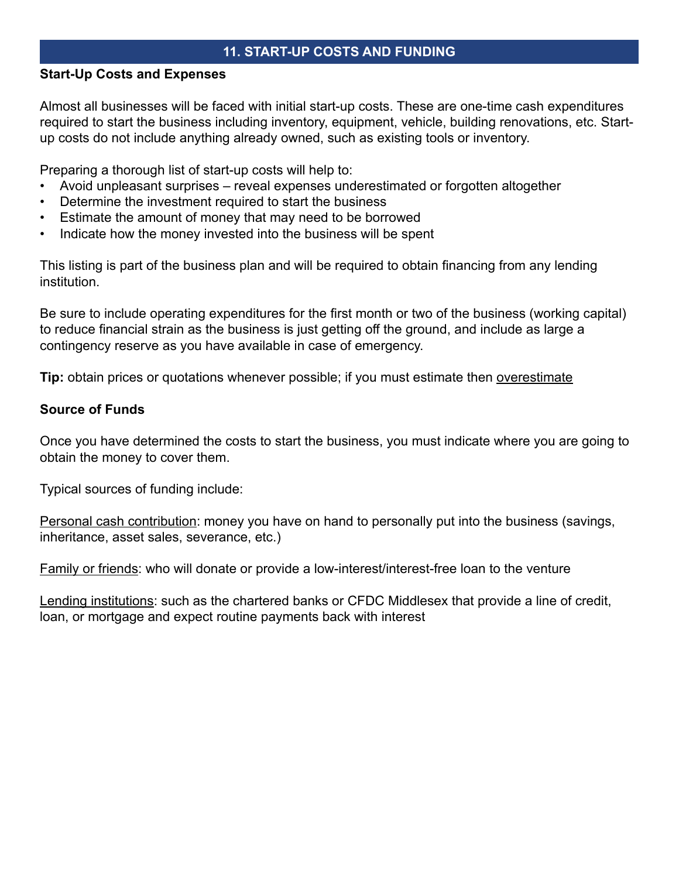# **11. START-UP COSTS AND FUNDING**

#### **Start-Up Costs and Expenses**

Almost all businesses will be faced with initial start-up costs. These are one-time cash expenditures required to start the business including inventory, equipment, vehicle, building renovations, etc. Startup costs do not include anything already owned, such as existing tools or inventory.

Preparing a thorough list of start-up costs will help to:

- Avoid unpleasant surprises reveal expenses underestimated or forgotten altogether
- Determine the investment required to start the business
- Estimate the amount of money that may need to be borrowed
- Indicate how the money invested into the business will be spent

This listing is part of the business plan and will be required to obtain financing from any lending institution.

Be sure to include operating expenditures for the first month or two of the business (working capital) to reduce financial strain as the business is just getting off the ground, and include as large a contingency reserve as you have available in case of emergency.

**Tip:** obtain prices or quotations whenever possible; if you must estimate then overestimate

# **Source of Funds**

Once you have determined the costs to start the business, you must indicate where you are going to obtain the money to cover them.

Typical sources of funding include:

Personal cash contribution: money you have on hand to personally put into the business (savings, inheritance, asset sales, severance, etc.)

Family or friends: who will donate or provide a low-interest/interest-free loan to the venture

Lending institutions: such as the chartered banks or CFDC Middlesex that provide a line of credit, loan, or mortgage and expect routine payments back with interest